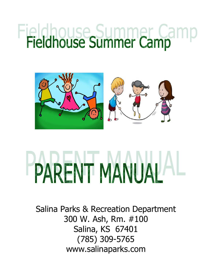# Fieldhouse Summer Camp



# PARENT MANUAL AL

Salina Parks & Recreation Department 300 W. Ash, Rm. #100 Salina, KS 67401 (785) 309-5765 www.salinaparks.com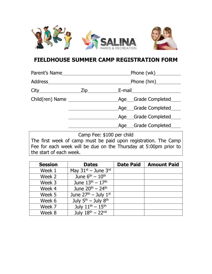



# **FIELDHOUSE SUMMER CAMP REGISTRATION FORM**

| Parent's Name                                                                                                    |                           |                       |  |  |
|------------------------------------------------------------------------------------------------------------------|---------------------------|-----------------------|--|--|
| Address Address Address Address Andrew Address Address Address Address Address Address Address Address Address A | _Phone (hm)___________    |                       |  |  |
| $City$ $Zip$                                                                                                     |                           |                       |  |  |
| Child(ren) Name                                                                                                  |                           | Age___Grade Completed |  |  |
|                                                                                                                  |                           | Age Grade Completed   |  |  |
|                                                                                                                  |                           | Age Grade Completed   |  |  |
|                                                                                                                  |                           | Age Grade Completed   |  |  |
|                                                                                                                  | Camp Fee: \$100 per child |                       |  |  |

The first week of camp must be paid upon registration. The Camp Fee for each week will be due on the Thursday at 5:00pm prior to the start of each week.

| <b>Session</b> | <b>Dates</b>                  | <b>Date Paid</b> | <b>Amount Paid</b> |
|----------------|-------------------------------|------------------|--------------------|
| Week 1         | May $31^{st}$ – June $3^{rd}$ |                  |                    |
| Week 2         | June $6th - 10th$             |                  |                    |
| Week 3         | June $13^{th} - 17^{th}$      |                  |                    |
| Week 4         | June $20^{th} - 24^{th}$      |                  |                    |
| Week 5         | June $27th - July 1st$        |                  |                    |
| Week 6         | July $5th$ – July $8th$       |                  |                    |
| Week 7         | July $11^{th} - 15^{th}$      |                  |                    |
| Week 8         | July $18^{th} - 22^{nd}$      |                  |                    |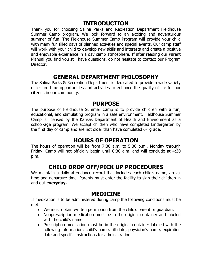#### **INTRODUCTION**

Thank you for choosing Salina Parks and Recreation Department Fieldhouse Summer Camp program. We look forward to an exciting and adventurous summer of fun. The Fieldhouse Summer Camp Program will provide your child with many fun filled days of planned activities and special events. Our camp staff will work with your child to develop new skills and interests and create a positive and enjoyable experience in a day camp atmosphere. If after reading our Parent Manual you find you still have questions, do not hesitate to contact our Program Director.

#### **GENERAL DEPARTMENT PHILOSOPHY**

The Salina Parks & Recreation Department is dedicated to provide a wide variety of leisure time opportunities and activities to enhance the quality of life for our citizens in our community.

#### **PURPOSE**

The purpose of Fieldhouse Summer Camp is to provide children with a fun, educational, and stimulating program in a safe environment. Fieldhouse Summer Camp is licensed by the Kansas Department of Health and Environment as a school-age program. We accept children who have completed kindergarten by the first day of camp and are not older than have completed  $6<sup>th</sup>$  grade.

#### **HOURS OF OPERATION**

The hours of operation will be from 7:30 a.m. to 5:30 p.m., Monday through Friday. Camp will not officially begin until 8:30 a.m. and will conclude at 4:30 p.m.

# **CHILD DROP OFF/PICK UP PROCEDURES**

We maintain a daily attendance record that includes each child's name, arrival time and departure time. Parents must enter the facility to sign their children in and out **everyday.**

#### **MEDICINE**

If medication is to be administered during camp the following conditions must be met:

- We must obtain written permission from the child's parent or guardian.
- Nonprescription medication must be in the original container and labeled with the child's name.
- Prescription medication must be in the original container labeled with the following information: child's name, fill date, physician's name, expiration date and specific instructions for administration.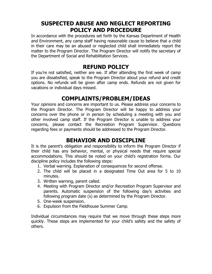# **SUSPECTED ABUSE AND NEGLECT REPORTING POLICY AND PROCEDURE**

In accordance with the procedures set forth by the Kansas Department of Health and Environment, any camp staff having reasonable cause to believe that a child in their care may be an abused or neglected child shall immediately report the matter to the Program Director. The Program Director will notify the secretary of the Department of Social and Rehabilitation Services.

#### **REFUND POLICY**

If you're not satisfied, neither are we. If after attending the first week of camp you are dissatisfied, speak to the Program Director about your refund and credit options. No refunds will be given after camp ends. Refunds are not given for vacations or individual days missed.

# **COMPLAINTS/PROBLEM/IDEAS**

Your opinions and concerns are important to us. Please address your concerns to the Program Director. The Program Director will be happy to address your concerns over the phone or in person by scheduling a meeting with you and other involved camp staff. If the Program Director is unable to address your concerns, please contact the Recreation Program Supervisor. Questions regarding fees or payments should be addressed to the Program Director.

#### **BEHAVIOR AND DISCIPLINE**

It is the parent's obligation and responsibility to inform the Program Director if their child has any behavior, mental, or physical needs that require special accommodations. This should be noted on your child's registration forms. Our discipline policy includes the following steps:

- 1. Verbal warning. Explanation of consequences for second offense.
- 2. The child will be placed in a designated Time Out area for 5 to 10 minutes.
- 3. Written warning, parent called.
- 4. Meeting with Program Director and/or Recreation Program Supervisor and parents. Automatic suspension of the following day's activities and following program date (s) as determined by the Program Director.
- 5. One-week suspension.
- 6. Expulsion from the Fieldhouse Summer Camp.

Individual circumstances may require that we move through these steps more quickly. These steps are implemented for your child's safety and the safety of others.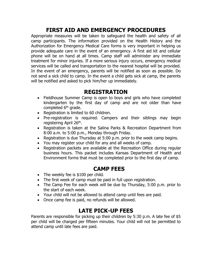# **FIRST AID AND EMERGENCY PROCEDURES**

Appropriate measures will be taken to safeguard the health and safety of all camp participants. The information provided on the Health History and the Authorization for Emergency Medical Care forms is very important in helping us provide adequate care in the event of an emergency. A first aid kit and cellular phone will be on hand at all times. Camp staff will administer any immediate treatment for minor injuries. If a more serious injury occurs, emergency medical services will be called and transportation to the nearest hospital will be provided. In the event of an emergency, parents will be notified as soon as possible. Do not send a sick child to camp. In the event a child gets sick at camp, the parents will be notified and asked to pick him/her up immediately.

#### **REGISTRATION**

- Fieldhouse Summer Camp is open to boys and girls who have completed kindergarten by the first day of camp and are not older than have completed 6<sup>th</sup> grade.
- Registration is limited to 60 children per week.
- Pre-registration is required. Campers and their siblings may begin registering Tuesday, April 26<sup>th</sup>.
- Registration is taken at the Salina Parks & Recreation Department from 8:00 a.m. to 5:00 p.m., Monday through Friday.
- Registration is due Thursday at 5:00 p.m. prior to the week camp begins.
- You may register your child for any and all weeks of camp.
- Registration packets are available at the Recreation Office during regular business hours. This packet includes Kansas Department of Health and Environment forms that must be completed prior to the first day of camp.

#### **CAMP FEES**

- The weekly fee is \$100 per child.
- The first week of camp must be paid in full upon registration.
- The Camp Fee for each week will be due by Thursday, 5:00 p.m. prior to the start of each week.
- Your child will not be allowed to attend camp until fees are paid.
- Once camp fee is paid, no refunds will be allowed.

# **LATE PICK-UP FEES**

Parents are responsible for picking up their children by 5:30 p.m. A late fee of \$5 per child will be charged per fifteen minutes. Your child will not be permitted to attend camp until late fees are paid.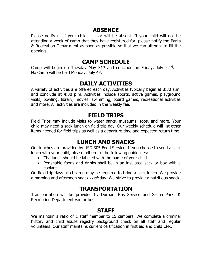#### **ABSENCE**

Please notify us if your child is ill or will be absent. If your child will not be attending a week of camp that they have registered for, please notify the Parks & Recreation Department as soon as possible so that we can attempt to fill the opening.

#### **CAMP SCHEDULE**

Camp will begin on Tuesday May 31st and conclude on Friday, July 22<sup>nd</sup>. No Camp will be held Monday, July 4<sup>th</sup>.

#### **DAILY ACTIVITIES**

A variety of activities are offered each day. Activities typically begin at 8:30 a.m. and conclude at 4:30 p.m. Activities include sports, active games, playground visits, bowling, library, movies, swimming, board games, recreational activities and more. All activities are included in the weekly fee.

#### **FIELD TRIPS**

Field Trips may include visits to water parks, museums, zoos, and more. Your child may need a sack lunch on field trip day. Our weekly schedule will list other items needed for field trips as well as a departure time and expected return time.

# **LUNCH AND SNACKS**

Our lunches are provided by USD 305 Food Service. If you choose to send a sack lunch with your child, please adhere to the following guidelines:

- The lunch should be labeled with the name of your child
- Perishable foods and drinks shall be in an insulated sack or box with a coolant.

On field trip days all children may be required to bring a sack lunch. We provide a morning and afternoon snack each day. We strive to provide a nutritious snack.

#### **TRANSPORTATION**

Transportation will be provided by Durham Bus Service and Salina Parks & Recreation Department van or bus.

#### **STAFF**

We maintain a ratio of 1 staff member to 15 campers. We complete a criminal history and child abuse registry background check on all staff and regular volunteers. Our staff maintains current certification in first aid and child CPR.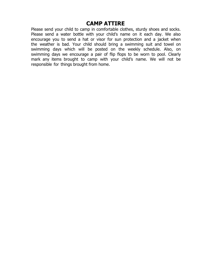#### **CAMP ATTIRE**

Please send your child to camp in comfortable clothes, sturdy shoes and socks. Please send a water bottle with your child's name on it each day. We also encourage you to send a hat or visor for sun protection and a jacket when the weather is bad. Your child should bring a swimming suit and towel on swimming days which will be posted on the weekly schedule. Also, on swimming days we encourage a pair of flip flops to be worn to pool. Clearly mark any items brought to camp with your child's name. We will not be responsible for things brought from home.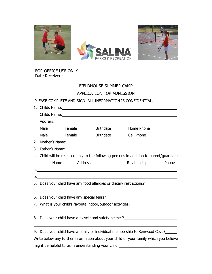

 FOR OFFICE USE ONLY Date Received:

#### FIELDHOUSE SUMMER CAMP APPLICATION FOR ADMISSION

#### PLEASE COMPLETE AND SIGN. ALL INFORMATION IS CONFIDENTIAL.

|    |                                                                                                                | 1. Childs Name: 2008. 2009. 2010. 2010. 2010. 2010. 2010. 2010. 2010. 2010. 2010. 2010. 2010. 2010. 2010. 2010 |  |                                                                                                                      |       |  |  |
|----|----------------------------------------------------------------------------------------------------------------|----------------------------------------------------------------------------------------------------------------|--|----------------------------------------------------------------------------------------------------------------------|-------|--|--|
|    | Childs Name: 1988 Childs Name: 1988 Childs Name: 1988 Childs Name: 1988 Childs Name: 1988 Childs Name: 1988 Ch |                                                                                                                |  |                                                                                                                      |       |  |  |
|    |                                                                                                                |                                                                                                                |  |                                                                                                                      |       |  |  |
|    |                                                                                                                |                                                                                                                |  |                                                                                                                      |       |  |  |
|    |                                                                                                                |                                                                                                                |  | Male Female Birthdate Cell Phone                                                                                     |       |  |  |
|    |                                                                                                                |                                                                                                                |  |                                                                                                                      |       |  |  |
| 3. |                                                                                                                |                                                                                                                |  |                                                                                                                      |       |  |  |
|    |                                                                                                                |                                                                                                                |  | 4. Child will be released only to the following persons in addition to parent/guardian:                              |       |  |  |
|    | Name                                                                                                           | Address                                                                                                        |  | Relationship                                                                                                         | Phone |  |  |
|    |                                                                                                                |                                                                                                                |  | a. <u> In the second contract of the second contract of the second contract of the second contract of the second</u> |       |  |  |
|    |                                                                                                                |                                                                                                                |  |                                                                                                                      |       |  |  |
|    |                                                                                                                |                                                                                                                |  | 5. Does your child have any food allergies or dietary restrictions?                                                  |       |  |  |
|    |                                                                                                                |                                                                                                                |  |                                                                                                                      |       |  |  |
|    | 7. What is your child's favorite indoor/outdoor activities?                                                    |                                                                                                                |  |                                                                                                                      |       |  |  |
|    |                                                                                                                |                                                                                                                |  |                                                                                                                      |       |  |  |
|    |                                                                                                                |                                                                                                                |  | 8. Does your child have a bicycle and safety helmet?                                                                 |       |  |  |
|    |                                                                                                                |                                                                                                                |  |                                                                                                                      |       |  |  |
|    | 9. Does your child have a family or individual membership to Kenwood Cove?                                     |                                                                                                                |  |                                                                                                                      |       |  |  |
|    | Write below any further information about your child or your family which you believe                          |                                                                                                                |  |                                                                                                                      |       |  |  |
|    | might be helpful to us in understanding your child.                                                            |                                                                                                                |  |                                                                                                                      |       |  |  |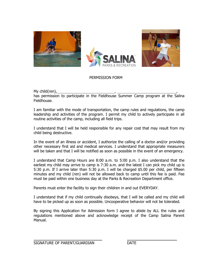

#### PERMISSION FORM

My child(ren), , , has permission to participate in the Fieldhouse Summer Camp program at the Salina Fieldhouse.

I am familiar with the mode of transportation, the camp rules and regulations, the camp leadership and activities of the program. I permit my child to actively participate in all routine activities of the camp, including all field trips.

I understand that I will be held responsible for any repair cost that may result from my child being destructive.

In the event of an illness or accident, I authorize the calling of a doctor and/or providing other necessary first aid and medical services. I understand that appropriate measurers will be taken and that I will be notified as soon as possible in the event of an emergency.

I understand that Camp Hours are 8:00 a.m. to 5:00 p.m. I also understand that the earliest my child may arrive to camp is 7:30 a.m. and the latest I can pick my child up is 5:30 p.m. If I arrive later than 5:30 p.m. I will be charged \$5.00 per child, per fifteen minutes and my child (ren) will not be allowed back to camp until this fee is paid. Fee must be paid within one business day at the Parks & Recreation Department office.

Parents must enter the facility to sign their children in and out EVERYDAY.

I understand that if my child continually disobeys, that I will be called and my child will have to be picked up as soon as possible. Uncooperative behavior will not be tolerated.

By signing this Application for Admission form I agree to abide by ALL the rules and regulations mentioned above and acknowledge receipt of the Camp Salina Parent Manual.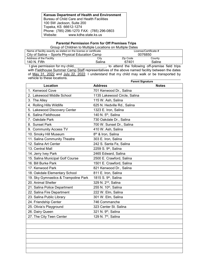**Kansas Department of Health and Environment** Bureau of Child Care and Health Facilities 100 SW Jackson, Suite 200 Topeka, KS 66612-1274 Phone: (785) 296-1270 FAX: (785) 296-0803 www.kdhe.state.ks.us

#### **Parental Permission Form for Off Premises Trips**

Group of Children to Multiple Locations on Multiple Dates

| Name of facility exactly as stated on the license or certificate |        |          | License/Certificate # |  |
|------------------------------------------------------------------|--------|----------|-----------------------|--|
| City of Salina – Sports Physical Education Camp                  |        |          | 0076850               |  |
| Address of the Facility                                          | City   | Zip Code | County                |  |
| 140 N. Fifth                                                     | Salina | 67401    | Saline                |  |

I give permission for my child,\_\_\_\_\_\_\_\_\_\_\_\_\_\_\_\_, to attend the following off-premise field trips with <u>Fieldhouse Summer Camp Staff</u> representatives of the above named facility between the dates of May 31, 2022 and July 22, 2022. I understand that my child may walk or be transported by vehicle to these locations.

|                                      | <b>Parent Signature</b>          |              |
|--------------------------------------|----------------------------------|--------------|
| Location                             | <b>Address</b>                   | <b>Notes</b> |
| 1. Kenwood Cove                      | 701 Kenwood Dr., Salina          |              |
| 2. Lakewood Middle School            | 1135 Lakewood Circle, Salina     |              |
| 3. The Alley                         | 115 W. Ash, Salina               |              |
| 4. Rolling Hills Wildlife            | 625 N. Hedville Rd., Salina      |              |
| 5. Lakewood Discovery Center         | 1323 E. Iron, Salina             |              |
| 6. Salina Fieldhouse                 | 140 N. 5 <sup>th</sup> , Salina  |              |
| 7. Oakdale Park                      | 730 Oakdale Dr., Salina          |              |
| 8. Sunset Park                       | 700 W. Sunset Dr., Salina        |              |
| 9. Community Access TV               | 410 W. Ash, Salina               |              |
| 10. Smoky Hill Museum                | 8 <sup>th</sup> & Iron, Salina   |              |
| 11. Salina Community Theatre         | 303 E. Iron, Salina              |              |
| 12. Salina Art Center                | 242 S. Santa Fe, Salina          |              |
| 13. Central Mall                     | 2259 S. 9th, Salina              |              |
| 14. Jerry Ivey Park                  | 2465 Edward, Salina              |              |
| 15. Salina Municipal Golf Course     | 2500 E. Crawford, Salina         |              |
| 16. Bill Burke Park                  | 1501 E. Crawford, Salina         |              |
| 17. Kenwood Park                     | 821 Kenwood Dr., Salina          |              |
| 18. Oakdale Elementary School        | 811 E. Iron, Salina              |              |
| 19. Sky Gymnastics & Trampoline Park | 1815 S. 9 <sup>th</sup> , Salina |              |
| 20. Animal Shelter                   | 329 N. 2 <sup>nd</sup> , Salina  |              |
| 21. Salina Police Department         | 255 N. 10th, Salina              |              |
| 22. Salina Fire Department           | 222 W. Elm, Salina               |              |
| 23. Salina Public Library            | 301 W. Elm, Salina               |              |
| 24. Friendship Center                | 746 Commanche                    |              |
| 25. Olivia's Playground              | 323 Center St. Salina            |              |
| 26. Dairy Queen                      | 321 N. 9 <sup>th</sup> , Salina  |              |
| 27. The City Teen Center             | 129 N. 7 <sup>th</sup> , Salina  |              |
|                                      |                                  |              |
|                                      |                                  |              |
|                                      |                                  |              |
|                                      |                                  |              |
|                                      |                                  |              |
|                                      |                                  |              |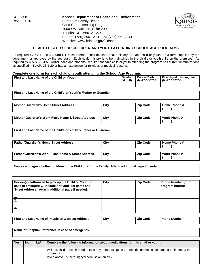CCL. 358 **Kansas Department of Health and Environment Bureau of Family Health** Child Care Licensing Program 1000 SW Jackson, Suite 200 Topeka, KS 66612-1274 Phone: (785) 296-1270 Fax (785) 559-4244 Website: www.kdheks.gov/kidsnet



#### **HEALTH HISTORY FOR CHILDREN AND YOUTH ATTENDING SCHOOL AGE PROGRAMS**

As required by K.A.R. 28-4-590(d) (1), each operator shall obtain a health history for each child or youth, on a form supplied by the department or approved by the secretary. Each health history is to be maintained in the child's or youth's file on the premises. As required by K.A.R. 28-4-590(d)(2), each operator shall require that each child or youth attending the program has current immunizations as specified in K.A.R. 28-1-20 or has an exemption for religious or medical reasons.

#### **Complete one form for each child or youth attending the School Age Program.**

| First and Last Name of the Child or Youth | Gender              | Date of Birth | First day at this program: |
|-------------------------------------------|---------------------|---------------|----------------------------|
|                                           | $(M \text{ or } F)$ | (MM/DD/YYYY)  | (MM/DD/YYYY)               |

**First and Last Name of the Child's or Youth's Mother or Guardian**

| <b>Mother/Guardian's Home Street Address</b>       | City | <b>Zip Code</b> | Home Phone #        |
|----------------------------------------------------|------|-----------------|---------------------|
|                                                    |      |                 |                     |
| Mother/Guardian's Work Place Name & Street Address | City | <b>Zip Code</b> | <b>Work Phone #</b> |
|                                                    |      |                 |                     |

**First and Last Name of the Child's or Youth's Father or Guardian**

| <b>Father/Guardian's Home Street Address</b>                  | City | <b>Zip Code</b> | Home Phone # |
|---------------------------------------------------------------|------|-----------------|--------------|
| <b>Father/Guardian's Work Place Name &amp; Street Address</b> | City | <b>Zip Code</b> | Work Phone # |

**Names and ages of other children in the Child or Youth's Family (Attach additional page if needed.)**

| Person(s) authorized to pick up the Child or Youth in<br>case of emergency. Include first and last name and<br>Street Address. Attach additional page if needed.<br>1. | City | <b>Zip Code</b> | <b>Phone Number (during</b><br>program hours): |
|------------------------------------------------------------------------------------------------------------------------------------------------------------------------|------|-----------------|------------------------------------------------|
| 2.                                                                                                                                                                     |      |                 |                                                |
| 3.                                                                                                                                                                     |      |                 |                                                |

| <b>First and Last Name of Physician &amp; Street Address</b> | City | <b>Zip Code</b> | <b>Phone Number</b> |
|--------------------------------------------------------------|------|-----------------|---------------------|
|                                                              |      |                 |                     |

**Name of Hospital Preference in case of emergency.**

| Yes | <b>No</b> | N/A | Complete the following information about medications for this child or youth.                                             |
|-----|-----------|-----|---------------------------------------------------------------------------------------------------------------------------|
|     |           |     | Will this child or youth need to take any nonprescription or prescription medication during their time at the<br>program? |
|     |           |     | If yes above, is there signed permission on file?                                                                         |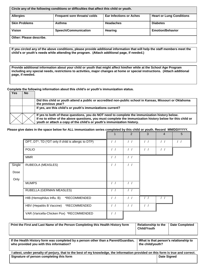| Circle any of the following conditions or difficulties that affect this child or youth. |                             |                                |                                 |  |  |  |  |
|-----------------------------------------------------------------------------------------|-----------------------------|--------------------------------|---------------------------------|--|--|--|--|
| <b>Allergies</b>                                                                        | Frequent sore throats/colds | <b>Ear Infections or Aches</b> | <b>Heart or Lung Conditions</b> |  |  |  |  |
| <b>Skin Problems</b>                                                                    | Asthma                      | <b>Headaches</b>               | <b>Diabetes</b>                 |  |  |  |  |
| Vision<br><b>Hearing</b><br><b>Speech/Communication</b><br><b>Emotion/Behavior</b>      |                             |                                |                                 |  |  |  |  |
| Other: Please describe.                                                                 |                             |                                |                                 |  |  |  |  |

**If you circled any of the above conditions, please provide additional information that will help the staff members meet the child's or youth's needs while attending the program. (Attach additional page, if needed.)**

**Provide additional information about your child or youth that might affect him/her while at the School Age Program including any special needs, restrictions to activities, major changes at home or special instructions. (Attach additional page, if needed.** 

**Complete the following information about this child's or youth's immunization status.**

| Yes | <b>No</b> |                                                                                                                                                                                                                                                                                        |
|-----|-----------|----------------------------------------------------------------------------------------------------------------------------------------------------------------------------------------------------------------------------------------------------------------------------------------|
|     |           | Did this child or youth attend a public or accredited non-public school in Kansas, Missouri or Oklahoma<br>the previous year?                                                                                                                                                          |
|     |           | If yes, are this child's or youth's immunizations current?                                                                                                                                                                                                                             |
|     |           | If yes to both of these questions, you do NOT need to complete the immunization history below.<br>If no to either of the above questions, you must complete the immunization history below for this child or<br>youth or attach a copy of the child's or youth's immunization history. |

#### **Please give dates in the space below for ALL immunization series completed by this child or youth. Record MM/DD/YYYY.**

|        |                                                     |                  | $\mathfrak{p}$   | 3                | $\overline{4}$   | 5 |
|--------|-----------------------------------------------------|------------------|------------------|------------------|------------------|---|
|        | DPT, DT*, TD (*DT only if child is allergic to DTP) | $\left  \right $ | $\left  \right $ | $\left  \right $ | $\left  \right $ |   |
|        | <b>POLIO</b>                                        | $\frac{1}{2}$    | $\left  \right $ | $\left  \right $ | $\left  \right $ |   |
|        | <b>MMR</b>                                          | $\frac{1}{2}$    | $\left  \right $ |                  |                  |   |
| Single | RUBEOLA (MEASLES)                                   | $\frac{1}{2}$    | $\frac{1}{2}$    |                  |                  |   |
| Dose   |                                                     |                  |                  |                  |                  |   |
| Only   |                                                     |                  |                  |                  |                  |   |
|        | <b>MUMPS</b>                                        | $\frac{1}{2}$    | $\sqrt{2}$       |                  |                  |   |
|        | RUBELLA (GERMAN MEASLES)                            | / /              | $\sqrt{2}$       |                  |                  |   |
|        | HIB (Hemophilus Influ. B)<br>*RECOMMENDED           | $\left  \right $ | $\frac{1}{2}$    |                  |                  |   |
|        | *RECOMMENDED<br>HBV (Hepatitis B Vaccine)           | $\frac{1}{2}$    | $\frac{1}{2}$    | $\left  \right $ |                  |   |
|        | VAR (Varicella-Chicken Pox) *RECOMMENDED            | $\frac{1}{2}$    |                  |                  |                  |   |

| Print the First and Last Name of the Person Completing this Health History form                                                                                                            | <b>Relationship to the</b><br><b>Child/Youth</b> | <b>Date Completed</b> |  |
|--------------------------------------------------------------------------------------------------------------------------------------------------------------------------------------------|--------------------------------------------------|-----------------------|--|
| If the Health History form was completed by a person other than a Parent/Guardian,<br>What is that person's relationship to<br>who provided you with this information?<br>the child/vouth? |                                                  |                       |  |
| attest, under penalty of perjury, that to the best of my knowledge, the information provided on this form is true and correct.<br>Signature of person completing this form                 |                                                  | <b>Date Signed</b>    |  |